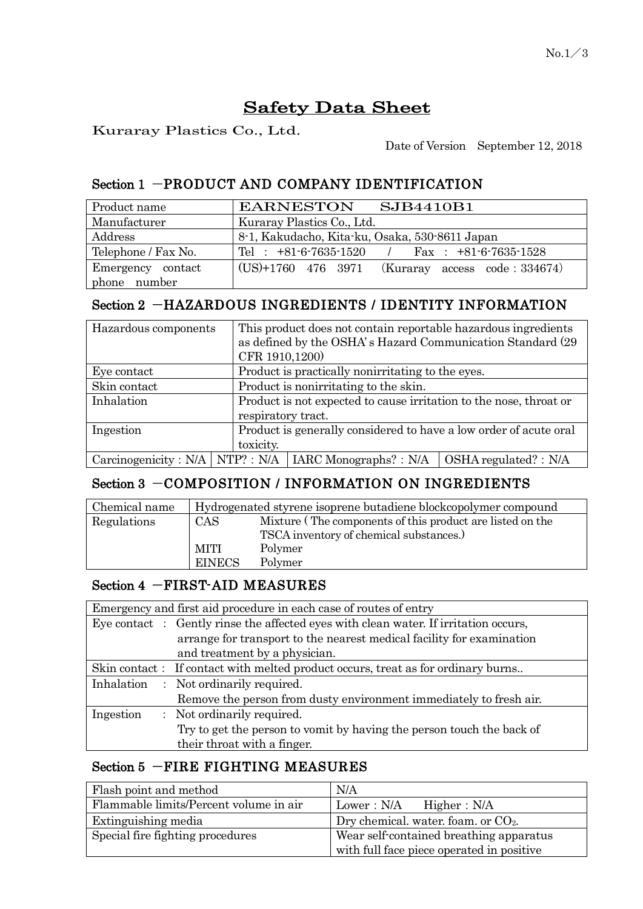# Safety Data Sheet

Kuraray Plastics Co., Ltd.

Date of Version September 12, 2018

# Section 1 -PRODUCT AND COMPANY IDENTIFICATION

| Product name        | EARNESTON SJB4410B1                                 |  |  |
|---------------------|-----------------------------------------------------|--|--|
| Manufacturer        | Kuraray Plastics Co., Ltd.                          |  |  |
| Address             | 8-1, Kakudacho, Kita-ku, Osaka, 530-8611 Japan      |  |  |
| Telephone / Fax No. | Tel : $+81-6-7635-1520$ / Fax : $+81-6-7635-1528$   |  |  |
| Emergency contact   | $(US)+1760$ 476 3971 (Kuraray access code : 334674) |  |  |
| phone number        |                                                     |  |  |

# Section 2 -HAZARDOUS INGREDIENTS / IDENTITY INFORMATION

| Hazardous components |  | This product does not contain reportable hazardous ingredients<br>as defined by the OSHA's Hazard Communication Standard (29)<br>CFR 1910,1200) |                                                                   |                               |
|----------------------|--|-------------------------------------------------------------------------------------------------------------------------------------------------|-------------------------------------------------------------------|-------------------------------|
| Eye contact          |  | Product is practically nonirritating to the eyes.                                                                                               |                                                                   |                               |
| Skin contact         |  | Product is nonirritating to the skin.                                                                                                           |                                                                   |                               |
| Inhalation           |  | Product is not expected to cause irritation to the nose, throat or                                                                              |                                                                   |                               |
|                      |  | respiratory tract.                                                                                                                              |                                                                   |                               |
| Ingestion            |  |                                                                                                                                                 | Product is generally considered to have a low order of acute oral |                               |
|                      |  | toxicity.                                                                                                                                       |                                                                   |                               |
|                      |  |                                                                                                                                                 | $Carcinogenicity : N/A   NTP? : N/A   IARC Monographs? : N/A$     | $\vert$ OSHA regulated? : N/A |

# Section 3 -COMPOSITION / INFORMATION ON INGREDIENTS

| Chemical name | Hydrogenated styrene isoprene butadiene blockcopolymer compound |                                                           |  |
|---------------|-----------------------------------------------------------------|-----------------------------------------------------------|--|
| Regulations   | CAS                                                             | Mixture (The components of this product are listed on the |  |
|               |                                                                 | TSCA inventory of chemical substances.)                   |  |
|               | MITI                                                            | Polymer                                                   |  |
|               | <b>EINECS</b>                                                   | Polymer                                                   |  |

#### Section 4 -FIRST-AID MEASURES

|           | Emergency and first aid procedure in each case of routes of entry                    |
|-----------|--------------------------------------------------------------------------------------|
|           | Eye contact : Gently rinse the affected eyes with clean water. If irritation occurs, |
|           | arrange for transport to the nearest medical facility for examination                |
|           | and treatment by a physician.                                                        |
|           | Skin contact: If contact with melted product occurs, treat as for ordinary burns     |
|           | Inhalation : Not ordinarily required.                                                |
|           | Remove the person from dusty environment immediately to fresh air.                   |
| Ingestion | : Not ordinarily required.                                                           |
|           | Try to get the person to vomit by having the person touch the back of                |
|           | their throat with a finger.                                                          |

# Section 5 -FIRE FIGHTING MEASURES

| Flash point and method                 | N/A                                       |  |
|----------------------------------------|-------------------------------------------|--|
| Flammable limits/Percent volume in air | Lower: N/A<br>Higher: N/A                 |  |
| Extinguishing media                    | Dry chemical. water. foam. or $CO2$ .     |  |
| Special fire fighting procedures       | Wear self-contained breathing apparatus   |  |
|                                        | with full face piece operated in positive |  |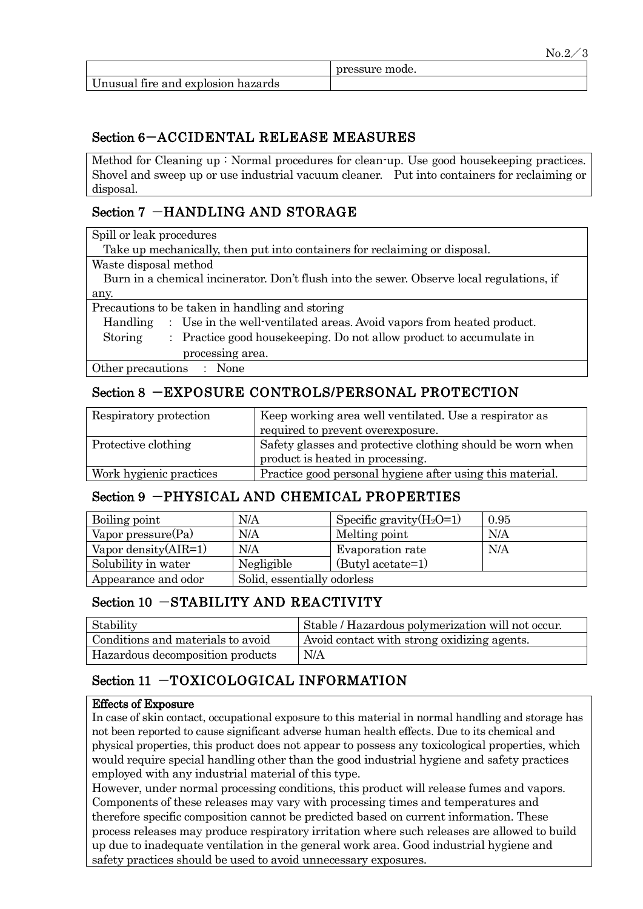|                                    | pressure mode. |
|------------------------------------|----------------|
| Unusual fire and explosion hazards |                |

#### Section 6-ACCIDENTAL RELEASE MEASURES

Method for Cleaning up : Normal procedures for clean-up. Use good housekeeping practices. Shovel and sweep up or use industrial vacuum cleaner. Put into containers for reclaiming or disposal.

#### Section 7 -HANDLING AND STORAGE

Spill or leak procedures

Take up mechanically, then put into containers for reclaiming or disposal.

Waste disposal method

 Burn in a chemical incinerator. Don't flush into the sewer. Observe local regulations, if any.

Precautions to be taken in handling and storing

- Handling : Use in the well-ventilated areas. Avoid vapors from heated product.
- Storing : Practice good housekeeping. Do not allow product to accumulate in processing area.

Other precautions : None

# Section 8 -EXPOSURE CONTROLS/PERSONAL PROTECTION

| Respiratory protection  | Keep working area well ventilated. Use a respirator as     |
|-------------------------|------------------------------------------------------------|
|                         | required to prevent overexposure.                          |
| Protective clothing     | Safety glasses and protective clothing should be worn when |
|                         | product is heated in processing.                           |
| Work hygienic practices | Practice good personal hygiene after using this material.  |

#### Section 9 -PHYSICAL AND CHEMICAL PROPERTIES

| Boiling point           | N/A                         | Specific gravity $(H_2O=1)$ | 0.95 |
|-------------------------|-----------------------------|-----------------------------|------|
| Vapor pressure $(Pa)$   | N/A                         | Melting point               | N/A  |
| Vapor density $(AIR=1)$ | N/A                         | Evaporation rate            | N/A  |
| Solubility in water     | Negligible                  | (Butyl acetate=1)           |      |
| Appearance and odor     | Solid, essentially odorless |                             |      |

# Section 10 -STABILITY AND REACTIVITY

| Stability                         | Stable / Hazardous polymerization will not occur. |
|-----------------------------------|---------------------------------------------------|
| Conditions and materials to avoid | Avoid contact with strong oxidizing agents.       |
| Hazardous decomposition products  | N/A                                               |

# Section 11 -TOXICOLOGICAL INFORMATION

#### Effects of Exposure

In case of skin contact, occupational exposure to this material in normal handling and storage has not been reported to cause significant adverse human health effects. Due to its chemical and physical properties, this product does not appear to possess any toxicological properties, which would require special handling other than the good industrial hygiene and safety practices employed with any industrial material of this type.

However, under normal processing conditions, this product will release fumes and vapors. Components of these releases may vary with processing times and temperatures and therefore specific composition cannot be predicted based on current information. These process releases may produce respiratory irritation where such releases are allowed to build up due to inadequate ventilation in the general work area. Good industrial hygiene and safety practices should be used to avoid unnecessary exposures.